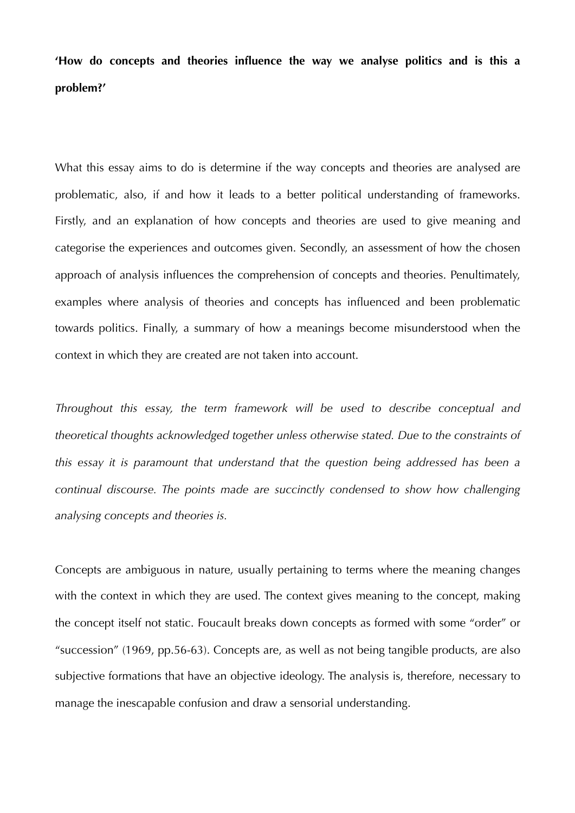**'How do concepts and theories influence the way we analyse politics and is this a problem?'** 

What this essay aims to do is determine if the way concepts and theories are analysed are problematic, also, if and how it leads to a better political understanding of frameworks. Firstly, and an explanation of how concepts and theories are used to give meaning and categorise the experiences and outcomes given. Secondly, an assessment of how the chosen approach of analysis influences the comprehension of concepts and theories. Penultimately, examples where analysis of theories and concepts has influenced and been problematic towards politics. Finally, a summary of how a meanings become misunderstood when the context in which they are created are not taken into account.

*Throughout this essay, the term framework will be used to describe conceptual and theoretical thoughts acknowledged together unless otherwise stated. Due to the constraints of this essay it is paramount that understand that the question being addressed has been a continual discourse. The points made are succinctly condensed to show how challenging analysing concepts and theories is.* 

Concepts are ambiguous in nature, usually pertaining to terms where the meaning changes with the context in which they are used. The context gives meaning to the concept, making the concept itself not static. Foucault breaks down concepts as formed with some "order" or "succession" (1969, pp.56-63). Concepts are, as well as not being tangible products, are also subjective formations that have an objective ideology. The analysis is, therefore, necessary to manage the inescapable confusion and draw a sensorial understanding.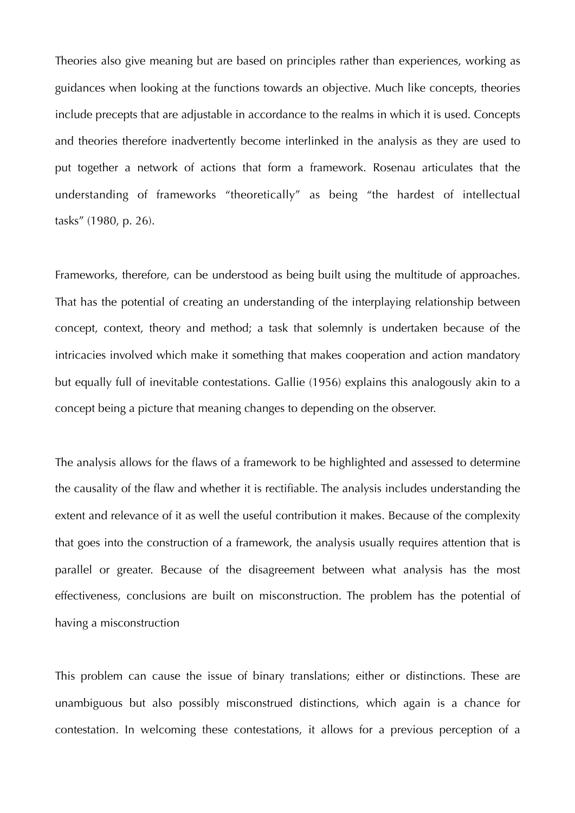Theories also give meaning but are based on principles rather than experiences, working as guidances when looking at the functions towards an objective. Much like concepts, theories include precepts that are adjustable in accordance to the realms in which it is used. Concepts and theories therefore inadvertently become interlinked in the analysis as they are used to put together a network of actions that form a framework. Rosenau articulates that the understanding of frameworks "theoretically" as being "the hardest of intellectual tasks" (1980, p. 26).

Frameworks, therefore, can be understood as being built using the multitude of approaches. That has the potential of creating an understanding of the interplaying relationship between concept, context, theory and method; a task that solemnly is undertaken because of the intricacies involved which make it something that makes cooperation and action mandatory but equally full of inevitable contestations. Gallie (1956) explains this analogously akin to a concept being a picture that meaning changes to depending on the observer.

The analysis allows for the flaws of a framework to be highlighted and assessed to determine the causality of the flaw and whether it is rectifiable. The analysis includes understanding the extent and relevance of it as well the useful contribution it makes. Because of the complexity that goes into the construction of a framework, the analysis usually requires attention that is parallel or greater. Because of the disagreement between what analysis has the most effectiveness, conclusions are built on misconstruction. The problem has the potential of having a misconstruction

This problem can cause the issue of binary translations; either or distinctions. These are unambiguous but also possibly misconstrued distinctions, which again is a chance for contestation. In welcoming these contestations, it allows for a previous perception of a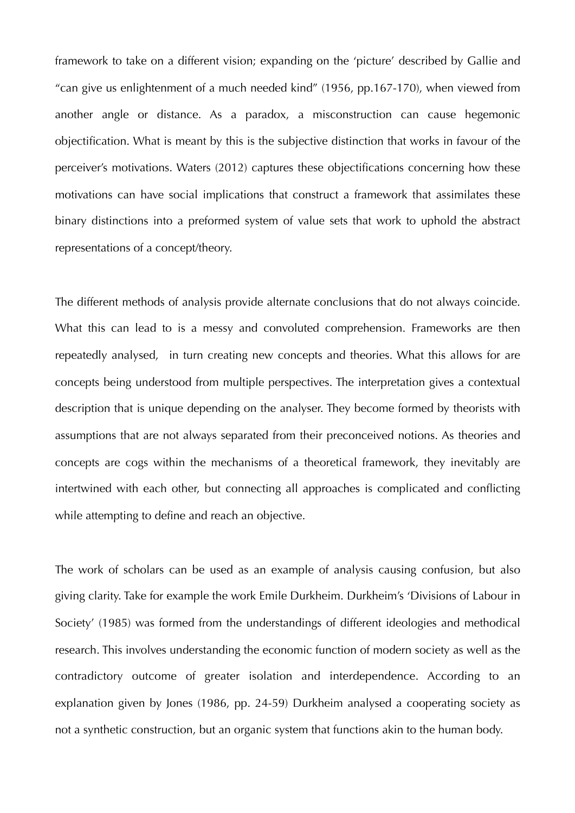framework to take on a different vision; expanding on the 'picture' described by Gallie and "can give us enlightenment of a much needed kind" (1956, pp.167-170), when viewed from another angle or distance. As a paradox, a misconstruction can cause hegemonic objectification. What is meant by this is the subjective distinction that works in favour of the perceiver's motivations. Waters (2012) captures these objectifications concerning how these motivations can have social implications that construct a framework that assimilates these binary distinctions into a preformed system of value sets that work to uphold the abstract representations of a concept/theory.

The different methods of analysis provide alternate conclusions that do not always coincide. What this can lead to is a messy and convoluted comprehension. Frameworks are then repeatedly analysed, in turn creating new concepts and theories. What this allows for are concepts being understood from multiple perspectives. The interpretation gives a contextual description that is unique depending on the analyser. They become formed by theorists with assumptions that are not always separated from their preconceived notions. As theories and concepts are cogs within the mechanisms of a theoretical framework, they inevitably are intertwined with each other, but connecting all approaches is complicated and conflicting while attempting to define and reach an objective.

The work of scholars can be used as an example of analysis causing confusion, but also giving clarity. Take for example the work Emile Durkheim. Durkheim's 'Divisions of Labour in Society' (1985) was formed from the understandings of different ideologies and methodical research. This involves understanding the economic function of modern society as well as the contradictory outcome of greater isolation and interdependence. According to an explanation given by Jones (1986, pp. 24-59) Durkheim analysed a cooperating society as not a synthetic construction, but an organic system that functions akin to the human body.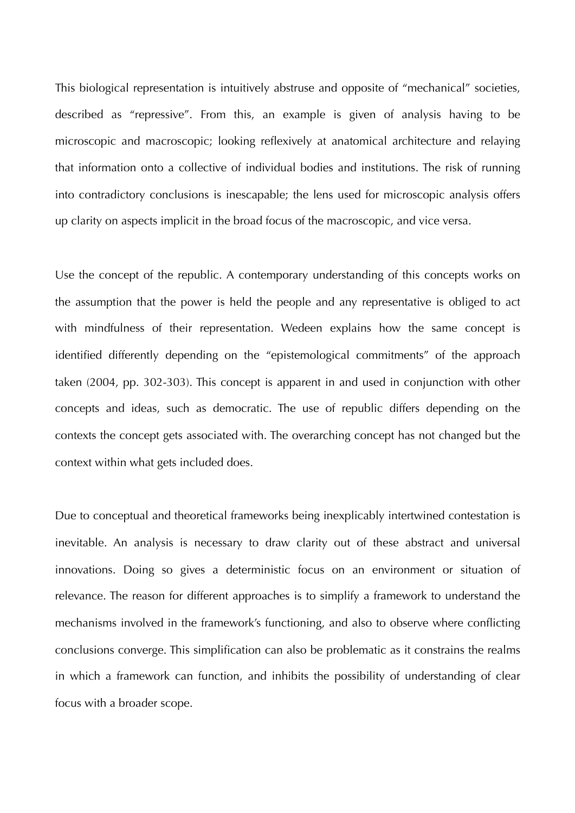This biological representation is intuitively abstruse and opposite of "mechanical" societies, described as "repressive". From this, an example is given of analysis having to be microscopic and macroscopic; looking reflexively at anatomical architecture and relaying that information onto a collective of individual bodies and institutions. The risk of running into contradictory conclusions is inescapable; the lens used for microscopic analysis offers up clarity on aspects implicit in the broad focus of the macroscopic, and vice versa.

Use the concept of the republic. A contemporary understanding of this concepts works on the assumption that the power is held the people and any representative is obliged to act with mindfulness of their representation. Wedeen explains how the same concept is identified differently depending on the "epistemological commitments" of the approach taken (2004, pp. 302-303). This concept is apparent in and used in conjunction with other concepts and ideas, such as democratic. The use of republic differs depending on the contexts the concept gets associated with. The overarching concept has not changed but the context within what gets included does.

Due to conceptual and theoretical frameworks being inexplicably intertwined contestation is inevitable. An analysis is necessary to draw clarity out of these abstract and universal innovations. Doing so gives a deterministic focus on an environment or situation of relevance. The reason for different approaches is to simplify a framework to understand the mechanisms involved in the framework's functioning, and also to observe where conflicting conclusions converge. This simplification can also be problematic as it constrains the realms in which a framework can function, and inhibits the possibility of understanding of clear focus with a broader scope.